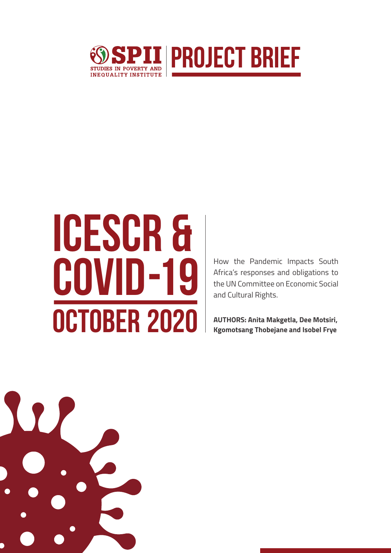

# ICESCR & **COVID-19 How the Pandemic Impacts South Africa's responses and obligations to the UN Committee on Economic Social OCTOBER 2020** <br>Kgomotsang Thobejane and Isobel Frye

Africa's responses and obligations to the UN Committee on Economic Social and Cultural Rights.

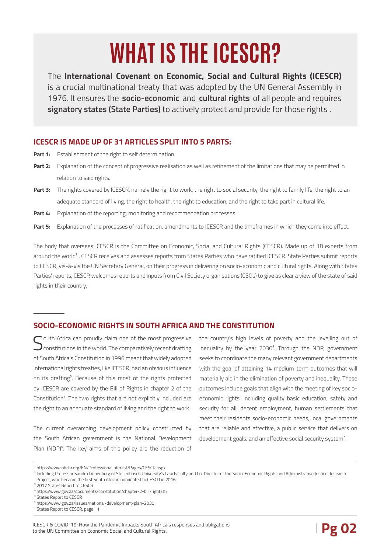## **WHAT IS THE ICESCR?**

The **International Covenant on Economic, Social and Cultural Rights (ICESCR)** is a crucial multinational treaty that was adopted by the UN General Assembly in 1976. It ensures the **socio-economic** and **cultural rights** of all people and requires **signatory states (State Parties)** to actively protect and provide for those rights .

#### **ICESCR IS MADE UP OF 31 ARTICLES SPLIT INTO 5 PARTS:**

- Part 1: Establishment of the right to self determination.
- **Part 2:** Explanation of the concept of progressive realisation as well as refinement of the limitations that may be permitted in relation to said rights.
- Part 3: The rights covered by ICESCR, namely the right to work, the right to social security, the right to family life, the right to an adequate standard of living, the right to health, the right to education, and the right to take part in cultural life.
- **Part 4:** Explanation of the reporting, monitoring and recommendation processes.
- Part 5: Explanation of the processes of ratification, amendments to ICESCR and the timeframes in which they come into effect.

The body that oversees ICESCR is the Committee on Economic, Social and Cultural Rights (CESCR). Made up of 18 experts from around the world<sup>2</sup>. CESCR receives and assesses reports from States Parties who have ratified ICESCR. State Parties submit reports to CESCR, vis-à-vis the UN Secretary General, on their progress in delivering on socio-economic and cultural rights. Along with States Parties' reports, CESCR welcomes reports and inputs from Civil Society organisations (CSOs) to give as clear a view of the state of said rights in their country.

#### **SOCIO-ECONOMIC RIGHTS IN SOUTH AFRICA AND THE CONSTITUTION**

South Africa can proudly claim one of the most progressive<br>Constitutions in the world. The comparatively recent drafting of South Africa's Constitution in 1996 meant that widely adopted international rights treaties, like ICESCR, had an obvious influence on its drafting<sup>3</sup>. Because of this most of the rights protected by ICESCR are covered by the Bill of Rights in chapter 2 of the Constitution<sup>4</sup>. The two rights that are not explicitly included are the right to an adequate standard of living and the right to work.

The current overarching development policy constructed by the South African government is the National Development Plan (NDP)<sup>5</sup>. The key aims of this policy are the reduction of the country's high levels of poverty and the levelling out of inequality by the year 2030<sup>6</sup>. Through the NDP, government seeks to coordinate the many relevant government departments with the goal of attaining 14 medium-term outcomes that will materially aid in the elimination of poverty and inequality. These outcomes include goals that align with the meeting of key socioeconomic rights, including quality basic education, safety and security for all, decent employment, human settlements that meet their residents socio-economic needs, local governments that are reliable and effective, a public service that delivers on development goals, and an effective social security system<sup>7</sup>.

<sup>2</sup> Including Professor Sandra Liebenberg of Stellenbosch University's Law Faculty and Co-Director of the Socio-Economic Rights and Administrative Justice Research Project, who became the first South African nominated to CESCR in 2016

ICESCR & COVID-19: How the Pandemic Impacts South Africa's responses and obligations<br>to the UN Committee on Economic Social and Cultural Rights. to the UN Committee on Economic Social and Cultural Rights.

¹ https://www.ohchr.org/EN/ProfessionalInterest/Pages/CESCR.aspx

<sup>&</sup>lt;sup>3</sup> 2017 States Report to CESCR

⁴ https://www.gov.za/documents/constitution/chapter-2-bill-rights#7

⁵ States Report to CESCR

⁶ https://www.gov.za/issues/national-development-plan-2030

⁷ States Report to CESCR, page 11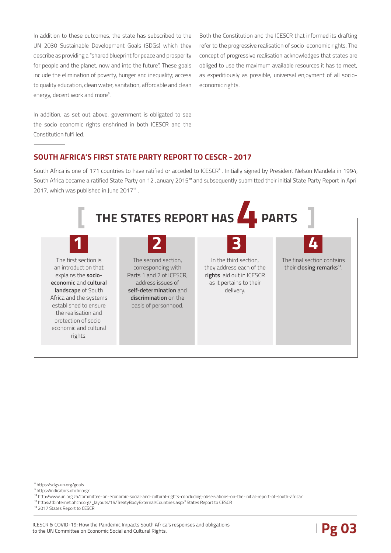In addition to these outcomes, the state has subscribed to the UN 2030 Sustainable Development Goals (SDGs) which they describe as providing a "shared blueprint for peace and prosperity for people and the planet, now and into the future". These goals include the elimination of poverty, hunger and inequality; access to quality education, clean water, sanitation, affordable and clean energy, decent work and more<sup>8</sup>.

Both the Constitution and the ICESCR that informed its drafting refer to the progressive realisation of socio-economic rights. The concept of progressive realisation acknowledges that states are obliged to use the maximum available resources it has to meet, as expeditiously as possible, universal enjoyment of all socioeconomic rights.

In addition, as set out above, government is obligated to see the socio economic rights enshrined in both ICESCR and the Constitution fulfilled.

#### **SOUTH AFRICA'S FIRST STATE PARTY REPORT TO CESCR - 2017**

South Africa is one of 171 countries to have ratified or acceded to ICESCR<sup>®</sup>. Initially signed by President Nelson Mandela in 1994. South Africa became a ratified State Party on 12 January 2015<sup>to</sup> and subsequently submitted their initial State Party Report in April 2017, which was published in June 2017<sup>11</sup>.



¹⁰ http://www.un.org.za/committee-on-economic-social-and-cultural-rights-concluding-observations-on-the-initial-report-of-south-africa/

⁸ https://sdgs.un.org/goals

⁹ https://indicators.ohchr.org/

<sup>&</sup>lt;sup>11</sup> https://tbinternet.ohchr.org/\_layouts/15/TreatyBodyExternal/Countries.aspx<sup>5</sup> States Report to CESCR

<sup>&</sup>lt;sup>12</sup> 2017 States Report to CESCR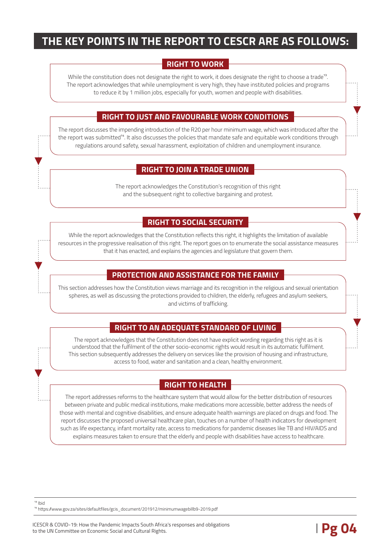## **THE KEY POINTS IN THE REPORT TO CESCR ARE AS FOLLOWS:**

#### **RIGHT TO WORK**

While the constitution does not designate the right to work, it does designate the right to choose a trade<sup>13</sup>. The report acknowledges that while unemployment is very high, they have instituted policies and programs to reduce it by 1 million jobs, especially for youth, women and people with disabilities.

#### **RIGHT TO JUST AND FAVOURABLE WORK CONDITIONS**

The report discusses the impending introduction of the R20 per hour minimum wage, which was introduced after the the report was submitted<sup>14</sup>. It also discusses the policies that mandate safe and equitable work conditions through regulations around safety, sexual harassment, exploitation of children and unemployment insurance.

#### **RIGHT TO JOIN A TRADE UNION**

The report acknowledges the Constitution's recognition of this right and the subsequent right to collective bargaining and protest.

#### **RIGHT TO SOCIAL SECURITY**

While the report acknowledges that the Constitution reflects this right, it highlights the limitation of available resources in the progressive realisation of this right. The report goes on to enumerate the social assistance measures that it has enacted, and explains the agencies and legislature that govern them.

#### **PROTECTION AND ASSISTANCE FOR THE FAMILY**

This section addresses how the Constitution views marriage and its recognition in the religious and sexual orientation spheres, as well as discussing the protections provided to children, the elderly, refugees and asylum seekers, and victims of trafficking.

#### **RIGHT TO AN ADEQUATE STANDARD OF LIVING**

The report acknowledges that the Constitution does not have explicit wording regarding this right as it is understood that the fulfilment of the other socio-economic rights would result in its automatic fulfilment. This section subsequently addresses the delivery on services like the provision of housing and infrastructure, access to food, water and sanitation and a clean, healthy environment.

#### **RIGHT TO HEALTH**

The report addresses reforms to the healthcare system that would allow for the better distribution of resources between private and public medical institutions, make medications more accessible, better address the needs of those with mental and cognitive disabilities, and ensure adequate health warnings are placed on drugs and food. The report discusses the proposed universal healthcare plan, touches on a number of health indicators for development such as life expectancy, infant mortality rate, access to medications for pandemic diseases like TB and HIV/AIDS and explains measures taken to ensure that the elderly and people with disabilities have access to healthcare.

 $13$  Ibid

<sup>14</sup> https://www.gov.za/sites/defaultfiles/gcis\_document/201912/minimumwagebillb9-2019.pdf

ICESCR & COVID-19: How the Pandemic Impacts South Africa's responses and obligations<br>to the UN Committee on Economic Social and Cultural Rights. to the UN Committee on Economic Social and Cultural Rights.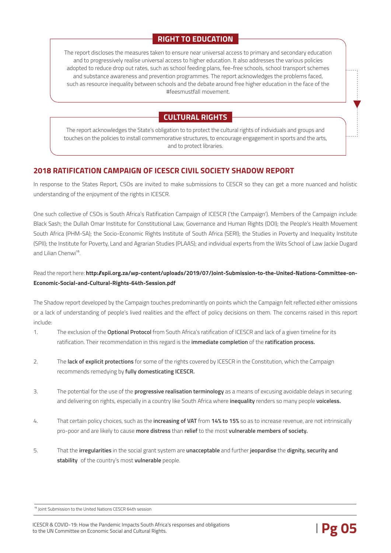#### **RIGHT TO EDUCATION**

The report discloses the measures taken to ensure near universal access to primary and secondary education and to progressively realise universal access to higher education. It also addresses the various policies adopted to reduce drop out rates, such as school feeding plans, fee-free schools, school transport schemes and substance awareness and prevention programmes. The report acknowledges the problems faced, such as resource inequality between schools and the debate around free higher education in the face of the #feesmustfall movement.

### **CULTURAL RIGHTS**

The report acknowledges the State's obligation to to protect the cultural rights of individuals and groups and touches on the policies to install commemorative structures, to encourage engagement in sports and the arts, and to protect libraries.

#### **2018 RATIFICATION CAMPAIGN OF ICESCR CIVIL SOCIETY SHADOW REPORT**

In response to the States Report, CSOs are invited to make submissions to CESCR so they can get a more nuanced and holistic understanding of the enjoyment of the rights in ICESCR.

One such collective of CSOs is South Africa's Ratification Campaign of ICESCR ('the Campaign'). Members of the Campaign include: Black Sash; the Dullah Omar Institute for Constitutional Law, Governance and Human Rights (DOI); the People's Health Movement South Africa (PHM-SA); the Socio-Economic Rights Institute of South Africa (SERI); the Studies in Poverty and Inequality Institute (SPII); the Institute for Poverty, Land and Agrarian Studies (PLAAS); and individual experts from the Wits School of Law Jackie Dugard and Lilian Chenwi<sup>15</sup>.

#### Read the report here: **http://spii.org.za/wp-content/uploads/2019/07/Joint-Submission-to-the-United-Nations-Committee-on-Economic-Social-and-Cultural-Rights-64th-Session.pdf**

The Shadow report developed by the Campaign touches predominantly on points which the Campaign felt reflected either omissions or a lack of understanding of people's lived realities and the effect of policy decisions on them. The concerns raised in this report include:

- 1. The exclusion of the **Optional Protocol** from South Africa's ratification of ICESCR and lack of a given timeline for its ratification. Their recommendation in this regard is the **immediate completion** of the **ratification process.**
- 2. The **lack of explicit protections** for some of the rights covered by ICESCR in the Constitution, which the Campaign recommends remedying by **fully domesticating ICESCR.**
- 3. The potential for the use of the **progressive realisation terminology** as a means of excusing avoidable delays in securing and delivering on rights, especially in a country like South Africa where **inequality** renders so many people **voiceless.**
- 4. That certain policy choices, such as the **increasing of VAT** from **14% to 15%** so as to increase revenue, are not intrinsically pro-poor and are likely to cause **more distress** than **relief** to the most **vulnerable members of society.**
- 5. That the **irregularities** in the social grant system are **unacceptable** and further **jeopardise** the **dignity, security and stability** of the country's most **vulnerable** people.

<sup>15</sup> Joint Submission to the United Nations CESCR 64th session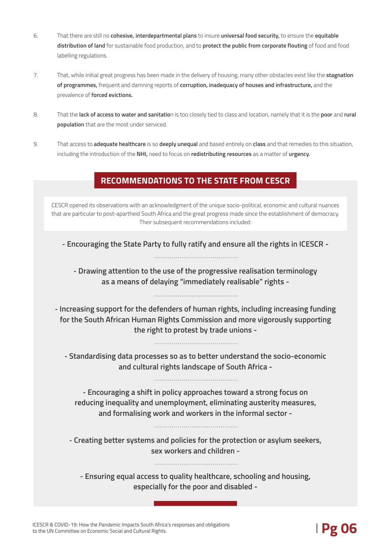- 6. That there are still no **cohesive, interdepartmental plans** to insure **universal food security,** to ensure the **equitable distribution of land** for sustainable food production, and to **protect the public from corporate flouting** of food and food labelling regulations.
- 7. That, while initial great progress has been made in the delivery of housing, many other obstacles exist like the **stagnation of programmes,** frequent and damning reports of **corruption, inadequacy of houses and infrastructure,** and the prevalence of **forced evictions.**
- 8. That the **lack of access to water and sanitatio**n is too closely tied to class and location, namely that it is the **poor** and **rural population** that are the most under serviced.
- 9. That access to **adequate healthcare** is so **deeply unequal** and based entirely on **class** and that remedies to this situation, including the introduction of the **NHI,** need to focus on **redistributing resources** as a matter of **urgency.**

#### **RECOMMENDATIONS TO THE STATE FROM CESCR**

CESCR opened its observations with an acknowledgment of the unique socio-political, economic and cultural nuances that are particular to post-apartheid South Africa and the great progress made since the establishment of democracy. Their subsequent recommendations included:

**- Encouraging the State Party to fully ratify and ensure all the rights in ICESCR -**

**- Drawing attention to the use of the progressive realisation terminology as a means of delaying "immediately realisable" rights -** 

**- Increasing support for the defenders of human rights, including increasing funding for the South African Human Rights Commission and more vigorously supporting the right to protest by trade unions -**

**- Standardising data processes so as to better understand the socio-economic and cultural rights landscape of South Africa -**

**- Encouraging a shift in policy approaches toward a strong focus on reducing inequality and unemployment, eliminating austerity measures, and formalising work and workers in the informal sector -**

**- Creating better systems and policies for the protection or asylum seekers, sex workers and children -**

**- Ensuring equal access to quality healthcare, schooling and housing, especially for the poor and disabled -**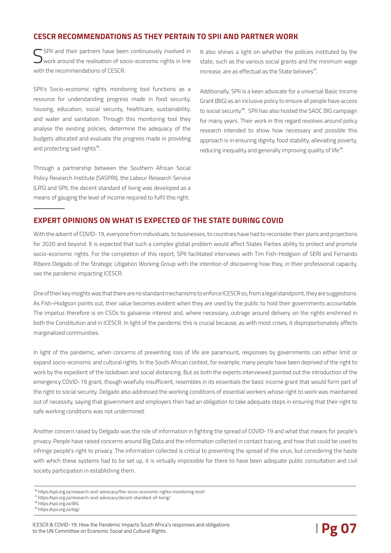#### **CESCR RECOMMENDATIONS AS THEY PERTAIN TO SPII AND PARTNER WORK**

SPII and their partners have been continuously involved in  ${\bf J}$ work around the realisation of socio-economic rights in line with the recommendations of CESCR

SPII's Socio-economic rights monitoring tool functions as a resource for understanding progress made in food security, housing, education, social security, healthcare, sustainability, and water and sanitation. Through this monitoring tool they analyse the existing policies, determine the adequacy of the budgets allocated and evaluate the progress made in providing and protecting said rights<sup>16</sup>.

Through a partnership between the Southern African Social Policy Research Institute (SASPRI), the Labour Research Service (LRS) and SPII, the decent standard of living was developed as a means of gauging the level of income required to fulfil this right.

It also shines a light on whether the policies instituted by the state, such as the various social grants and the minimum wage  $i$ ncrease, are as effectual as the State believes<sup>17</sup>.

Additionally, SPII is a keen advocate for a universal Basic Income Grant (BIG) as an inclusive policy to ensure all people have access to social security<sup>18</sup>. SPII has also hosted the SADC BIG campaign for many years. Their work in this regard revolves around policy research intended to show how necessary and possible this approach is in ensuring dignity, food stability, alleviating poverty, reducing inequality and generally improving quality of life<sup>19</sup>.

#### **EXPERT OPINIONS ON WHAT IS EXPECTED OF THE STATE DURING COVID**

With the advent of COVID-19, everyone from individuals, to businesses, to countries have had to reconsider their plans and projections for 2020 and beyond. It is expected that such a complex global problem would affect States Parties ability to protect and promote socio-economic rights. For the completion of this report, SPII facilitated interviews with Tim Fish-Hodgson of SERI and Fernando Ribeiro Delgado of the Strategic Litigation Working Group with the intention of discovering how they, in their professional capacity, see the pandemic impacting ICESCR.

One of their key insights was that there are no standard mechanisms to enforce ICESCR so, from a legal standpoint, they are suggestions. As Fish-Hodgson points out, their value becomes evident when they are used by the public to hold their governments accountable. The impetus therefore is on CSOs to galvanise interest and, where necessary, outrage around delivery on the rights enshrined in both the Constitution and in ICESCR. In light of the pandemic this is crucial because, as with most crises, it disproportionately affects marginalized communities.

In light of the pandemic, when concerns of preventing loss of life are paramount, responses by governments can either limit or expand socio-economic and cultural rights. In the South African context, for example, many people have been deprived of the right to work by the expedient of the lockdown and social distancing. But as both the experts interviewed pointed out the introduction of the emergency COVID-19 grant, though woefully insufficient, resembles in its essentials the basic income grant that would form part of the right to social security. Delgado also addressed the working conditions of essential workers whose right to work was maintained out of necessity, saying that government and employers then had an obligation to take adequate steps in ensuring that their right to safe working conditions was not undermined.

Another concern raised by Delgado was the role of information in fighting the spread of COVID-19 and what that means for people's privacy. People have raised concerns around Big Data and the information collected in contact tracing, and how that could be used to infringe people's right to privacy. The information collected is critical to preventing the spread of the virus, but considering the haste with which these systems had to be set up, it is virtually impossible for there to have been adequate public consultation and civil society participation in establishing them.

<sup>16</sup> https://spii.org.za/research-and-advocacy/the-socio-economic-rights-monitoring-tool/

<sup>&</sup>lt;sup>17</sup> https://spii.org.za/research-and-advocacy/decent-standard-of-living/

<sup>18</sup> https://spii.org.za/BIG

<sup>19</sup> https://spii.org.za/big/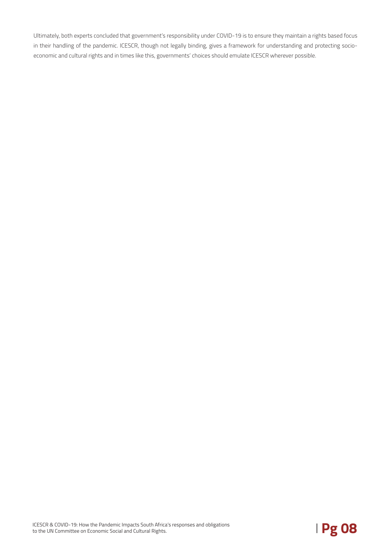Ultimately, both experts concluded that government's responsibility under COVID-19 is to ensure they maintain a rights based focus in their handling of the pandemic. ICESCR, though not legally binding, gives a framework for understanding and protecting socioeconomic and cultural rights and in times like this, governments' choices should emulate ICESCR wherever possible.